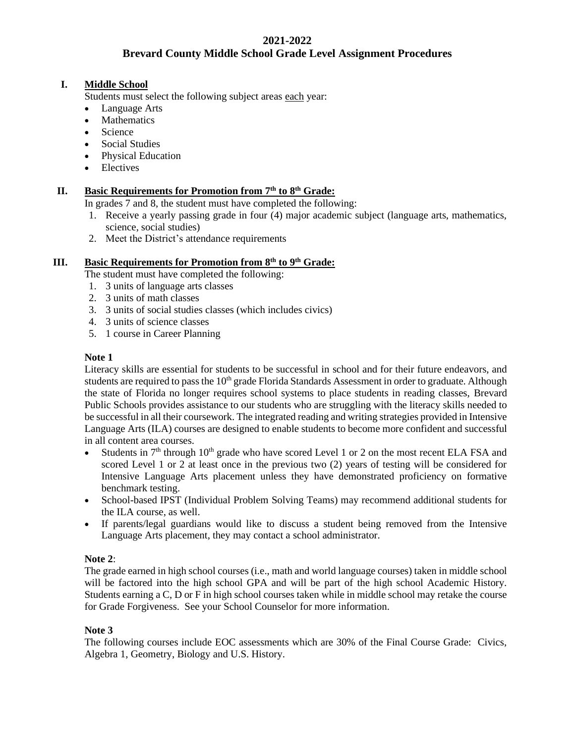## **2021-2022 Brevard County Middle School Grade Level Assignment Procedures**

### **I. Middle School**

Students must select the following subject areas each year:

- Language Arts
- **Mathematics**
- Science
- Social Studies
- Physical Education
- Electives

# **II. Basic Requirements for Promotion from 7th to 8th Grade:**

In grades 7 and 8, the student must have completed the following:

- 1. Receive a yearly passing grade in four (4) major academic subject (language arts, mathematics, science, social studies)
- 2. Meet the District's attendance requirements

#### **III. Basic Requirements for Promotion from 8th to 9th Grade:**

- The student must have completed the following:
- 1. 3 units of language arts classes
- 2. 3 units of math classes
- 3. 3 units of social studies classes (which includes civics)
- 4. 3 units of science classes
- 5. 1 course in Career Planning

#### **Note 1**

Literacy skills are essential for students to be successful in school and for their future endeavors, and students are required to pass the 10<sup>th</sup> grade Florida Standards Assessment in order to graduate. Although the state of Florida no longer requires school systems to place students in reading classes, Brevard Public Schools provides assistance to our students who are struggling with the literacy skills needed to be successful in all their coursework. The integrated reading and writing strategies provided in Intensive Language Arts (ILA) courses are designed to enable students to become more confident and successful in all content area courses.

- Students in  $7<sup>th</sup>$  through  $10<sup>th</sup>$  grade who have scored Level 1 or 2 on the most recent ELA FSA and scored Level 1 or 2 at least once in the previous two (2) years of testing will be considered for Intensive Language Arts placement unless they have demonstrated proficiency on formative benchmark testing.
- School-based IPST (Individual Problem Solving Teams) may recommend additional students for the ILA course, as well.
- If parents/legal guardians would like to discuss a student being removed from the Intensive Language Arts placement, they may contact a school administrator.

## **Note 2**:

The grade earned in high school courses (i.e., math and world language courses) taken in middle school will be factored into the high school GPA and will be part of the high school Academic History. Students earning a C, D or F in high school courses taken while in middle school may retake the course for Grade Forgiveness. See your School Counselor for more information.

#### **Note 3**

The following courses include EOC assessments which are 30% of the Final Course Grade: Civics, Algebra 1, Geometry, Biology and U.S. History.